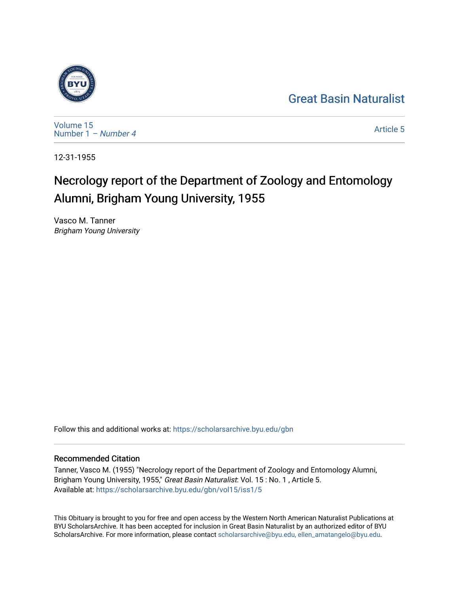# [Great Basin Naturalist](https://scholarsarchive.byu.edu/gbn)



[Volume 15](https://scholarsarchive.byu.edu/gbn/vol15) [Number 1](https://scholarsarchive.byu.edu/gbn/vol15/iss1) – Number 4

[Article 5](https://scholarsarchive.byu.edu/gbn/vol15/iss1/5) 

12-31-1955

# Necrology report of the Department of Zoology and Entomology Alumni, Brigham Young University, 1955

Vasco M. Tanner Brigham Young University

Follow this and additional works at: [https://scholarsarchive.byu.edu/gbn](https://scholarsarchive.byu.edu/gbn?utm_source=scholarsarchive.byu.edu%2Fgbn%2Fvol15%2Fiss1%2F5&utm_medium=PDF&utm_campaign=PDFCoverPages) 

## Recommended Citation

Tanner, Vasco M. (1955) "Necrology report of the Department of Zoology and Entomology Alumni, Brigham Young University, 1955," Great Basin Naturalist: Vol. 15 : No. 1, Article 5. Available at: [https://scholarsarchive.byu.edu/gbn/vol15/iss1/5](https://scholarsarchive.byu.edu/gbn/vol15/iss1/5?utm_source=scholarsarchive.byu.edu%2Fgbn%2Fvol15%2Fiss1%2F5&utm_medium=PDF&utm_campaign=PDFCoverPages)

This Obituary is brought to you for free and open access by the Western North American Naturalist Publications at BYU ScholarsArchive. It has been accepted for inclusion in Great Basin Naturalist by an authorized editor of BYU ScholarsArchive. For more information, please contact [scholarsarchive@byu.edu, ellen\\_amatangelo@byu.edu.](mailto:scholarsarchive@byu.edu,%20ellen_amatangelo@byu.edu)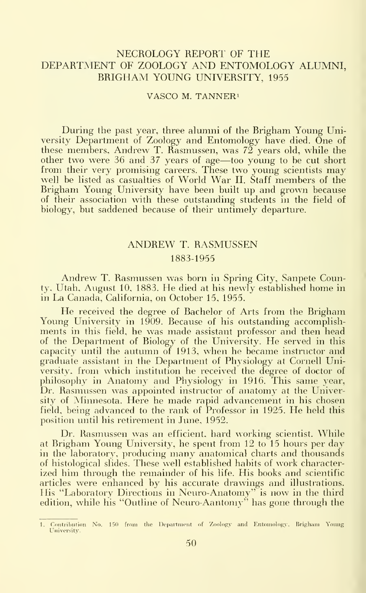### NECROLOGY REPORT OF THE DEPARTMENT OF ZOOLOGY AND ENTOMOLOGY ALUMNI, BRIGHAM YOUNG UNIVERSITY, <sup>1955</sup>

VASCO M. TANNERi

During the past year, three alumni of the Brigham Young University Department of Zoology and Entomology have died. One of these members, Andrew T. Rasmussen, was  $72$  years old, while the other two were <sup>36</sup> and <sup>37</sup> years of age—too young to be cut short from their very promising careers. These two young scientists may well be listed as casualties of World War II. Staff members of the Brigham Young University have been built up and grown because of their association with these outstanding students in the field of biology, but saddened because of their untimely departure.

### ANDREW T. RASMUSSEN

#### 1883-1955

Andrew T. Rasmussen was born in Spring City, Sanpete County. Utah, August 10, 1883. He died at his newly established home in in La Canada, California, on October 15, 1955.

He received the degree of Bachelor of Arts from the Brigham Young University in 1909. Because of his outstanding accomplishments in this field, he was made assistant professor and then head of the Department of Biology of the University. He served in this capacity until the autumn of 1913, when he became instructor and graduate assistant in the Department of Physiology at Cornell University, from which institution he received the degree of doctor of philosophy in Anatomy and Physiology in 1916. This same year, Dr. Rasmussen was appointed instructor of anatomy at the University of Minnesota. Here he made rapid advancement in his chosen field, being advanced to the rank of Professor in 1925. He held this position until his retirement in June, 1952.

Dr. Rasmussen was an efficient, hard working scientist. While at Brigham Young University, he spent from 12 to 15 hours per day in the laboratory, producing many anatomical charts and thousands of histological slides. These well established habits of work characterized him through the remainder of his life. His books and scientific articles were enhanced by his accurate drawings and illustrations. His "Laboratory Directions in Neuro-Anatomy" is now in the third edition, while his "Outline of Neuro-Aantomy" has gone through the

<sup>1.</sup> Contribution No. 150 from the Department of Zoology and Entomology. Brigham Young University.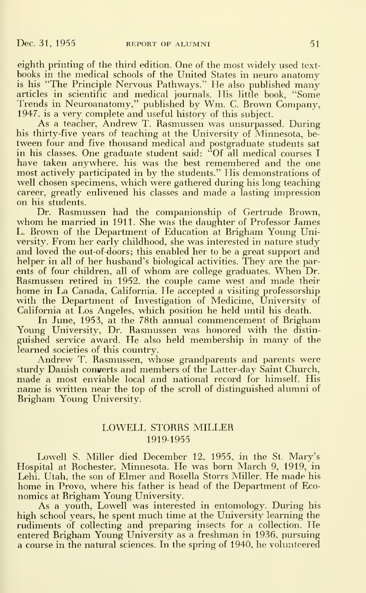eighth printing of the third edition. One of the most widely used text books in the medical schools of the United States in neuro anatomy is his "The Principle Nervous Pathways." He also published many articles in scientific and medical journals. His little book, "Some Trends in Neuroanatomy," published by Wm. C. Brown Company, 1947, is a very complete and useful history of this subject.

As a teacher, Andrew T. Rasmussen was unsurpassed. During his thirty-five years of teaching at the University of Minnesota, be tween four and five thousand medical and postgraduate students sat in his classes. One graduate student said: "Of all medical courses <sup>I</sup> have taken anywhere, his was the best remembered and the one most actively participated in by the students." His demonstrations of well chosen specimens, which were gathered during his long teaching career, greatly enlivened his classes and made a lasting impression on his students.

Dr. Rasmussen had the companionship of Gertrude Brown, whom he married in 1911. She was the daughter of Professor James L. Brown of the Department of Education at Brigham Young University. From her early childhood, she was interested in nature study and loved the out-of-doors; this enabled her to be a great support and helper in all of her husband's biological activities. They are the parents of four children, all of whom are college graduates. When Dr. Rasmussen retired in 1952. the couple came west and made their home in La Canada, California. He accepted a visiting professorship with the Department of Investigation of Medicine, University of California at Los Angeles, which position he held until his death.

In June, 1953, at the 78th annual commencement of Brigham Young University, Dr. Rasmussen was honored with the distin guished service award. He also held membership in many of the learned societies of this country.

Andrew T. Rasmussen, whose grandparents and parents were sturdy Danish converts and members of the Latter-day Saint Church, made a most enviable local and national record for himself. His name is written near the top of the scroll of distinguished alumni of Brigham Young University.

#### LOWELL STORRS MILLER 1919-1955

Lowell S. Miller died December 12, 1955, in the St. Mary's Hospital at Rochester. Minnesota. He was bom March 9, 1919, in Lehi. Utah, the son of Elmer and Rosella Storrs Miller. He made his home in Provo, where his father is head of the Department of Economics at Brigham Young University.

As a youth, Lowell was interested in entomology. During his high school years, he spent much time at the University learning the rudiments of collecting and preparing insects for <sup>a</sup> collection. He entered Brigham Young University as a freshman in 1936, pursuing a course in the natural sciences. In the spring of 1940, he volunteered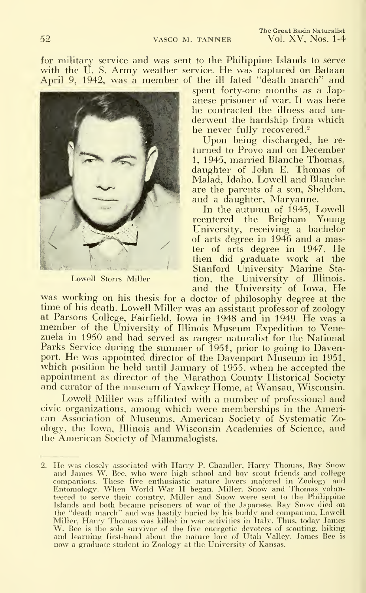for military service and was sent to the Philippine Islands to serve with the U. S. Army weather service. He was captured on Bataan April 9, 1942, was a member of the ill fated "death march" and



Lowell Storrs Miller

spent forty-one months as a Jap anese prisoner of war. It was here he contracted the illness and un derwent the hardship from which he never fully recovered.<sup>2</sup>

Upon being discharged, he re turned to Provo and on December 1, 1945, married Blanche Thomas, daughter of John E. Thomas of Malad, Idaho. Lowell and Blanche are the parents of a son, Sheldon, and a daughter, Maryanne.

In the autumn of 1945, Lowell reentered the Brigham Young University, receiving a bachelor of arts degree in 1946 and a master of arts degree in 1947. He then did graduate work at the Stanford University Marine Station, the University of Illinois, and the University of Iowa. He

was working on his thesis for a doctor of philosophy degree at the time of his death. Lowell Miller was an assistant professor of zoology<br>at Parsons College, Fairfield, Jowa in 1948 and in 1949. He was a member of the University of Illinois Museum Expedition to Venezuela in 1950 and had served as ranger naturalist for the National Parks Service during the summer of 1951, prior to going to Davenport. He was appointed director of the Davenport Museum in 1951, which position he held until January of 1955, when he accepted the appointment as director of the Marathon County Historical Society and curator of the museum of Yawkey Home, at Wansau, Wisconsin.

Lowell Miller was affiliated with a number of professional and civic organizations, among which were memberships in the American Association of Museums. American Society of Systematic Zoology, the Iowa, Illinois and Wisconsin Academies of Science, and the American Society of Mammalogists.

He was closely associated with Harry P. Chandler, Harry Thomas, Ray Snow and James W. Bee, who were high school and boy scout friends and college companions. These five enthusiastic nature lovers maiored in Zoology and Entomology. Wlien World War H began, Miller, Snow and Thomas volun-teered to serve their country. Miller and Snow were sent to the Philippine Islands and both became prisoners of war of the Japanese. Ray Snow died on the "death march" and was hastily buried by his buddy and companion, Lowell Miller, Harry Thomas was killed in war activities in Italy. Thus, today James W. Bee is the sole survivor of the five energetic devotees of scouting, hiking and learning first-hand about the nature lore of Utah Vallej'. James Bee is now <sup>a</sup> graduate student in Zoology at the University of Kansas.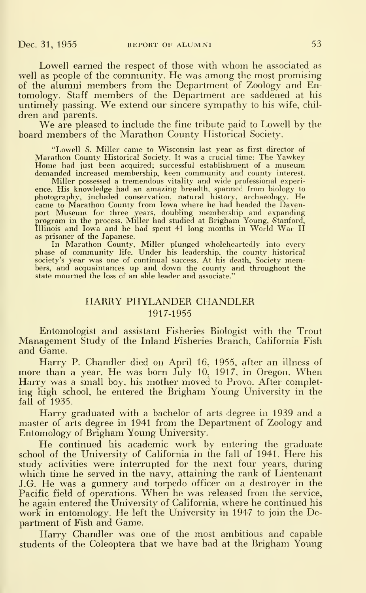Lowell earned the respect of those with whom he associated as well as people of the community. He was among the most promising of the alumni members from the Department of Zoology and Entomology. Staff members of the Department are saddened at his untimely passing. We extend our sincere sympathy to his wife, chil dren and parents.

We are pleased to include the fine tribute paid to Lowell by the board members of the Marathon County Historical Society.

"Lowell S. Miller came to Wisconsin last year as first director of Marathon County Historical Society. It was <sup>a</sup> crucial time: The Yawkey Home had just been acquired; successful establishment of <sup>a</sup> museum demanded increased membership, keen community and county interest.

Miller possessed a tremendous vitality and wide professional experience. His knowledge had an amazing breadth, spanned from biology to photography, included conservation, natural history, archaeology. He came to Marathon County from Iowa where he had headed the Davenport Museum for three years, doubling membership and expanding program in the process. Miller had studied at Brigham Young, Stanford, Illinois and Iowa and he had spent <sup>41</sup> long months in World War IIas prisoner of the Japanese.

In Marathon County, Miller plunged wholeheartedly into every phase of community life. Under his leadership, the county historical society's year was one of continual success. At his death, Society members, and acquaintances up and down the county and throughout the state mourned the loss of an able leader and associate."

#### HARRY PHYLANDER CHANDLER 1917-1955

Entomologist and assistant Fisheries Biologist with the Trout Management Study of the Inland Fisheries Branch, California Fish and Game.

Harry P. Chandler died on April 16, 1955, after an illness of more than a year. He was born July 10, 1917, in Oregon. When Harry was a small boy, his mother moved to Provo. After completing high school, he entered the Brigham Young University in the fall of 1935.

Harry graduated with a bachelor of arts degree in 1939 and a master of arts degree in 1941 from the Department of Zoology and Entomology of Brigham Young University.

He continued his academic work by entering the graduate school of the University of California in the fall of 1941. Here his study activities were interrupted for the next four years, during which time he served in the navy, attaining the rank of Lientenant J.G. He was <sup>a</sup> gunnery and torpedo officer on <sup>a</sup> destroyer in the Pacific field of operations. When he was released from the service, he again entered the University of California, where he continued his work in entomology. He left the University in 1947 to join the Department of Fish and Game.

Harry Chandler was one of the most ambitious and capable students of the Coleoptera that we have had at the Brigham Young